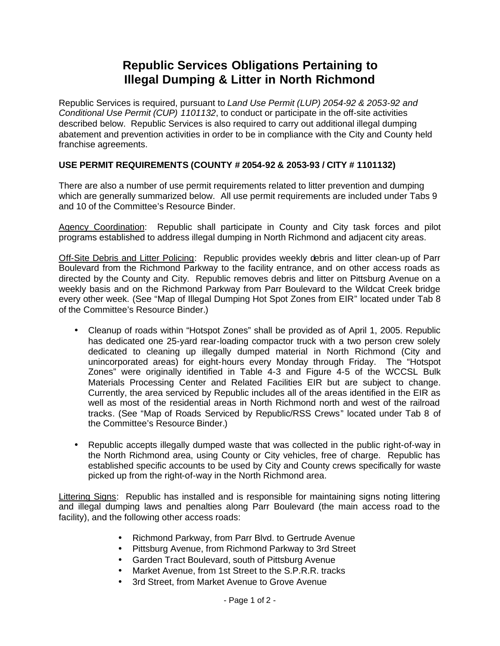## **Republic Services Obligations Pertaining to Illegal Dumping & Litter in North Richmond**

Republic Services is required, pursuant to *Land Use Permit (LUP) 2054-92 & 2053-92 and Conditional Use Permit (CUP) 1101132*, to conduct or participate in the off-site activities described below. Republic Services is also required to carry out additional illegal dumping abatement and prevention activities in order to be in compliance with the City and County held franchise agreements.

## **USE PERMIT REQUIREMENTS (COUNTY # 2054-92 & 2053-93 / CITY # 1101132)**

There are also a number of use permit requirements related to litter prevention and dumping which are generally summarized below. All use permit requirements are included under Tabs 9 and 10 of the Committee's Resource Binder.

Agency Coordination: Republic shall participate in County and City task forces and pilot programs established to address illegal dumping in North Richmond and adjacent city areas.

Off-Site Debris and Litter Policing: Republic provides weekly debris and litter clean-up of Parr Boulevard from the Richmond Parkway to the facility entrance, and on other access roads as directed by the County and City. Republic removes debris and litter on Pittsburg Avenue on a weekly basis and on the Richmond Parkway from Parr Boulevard to the Wildcat Creek bridge every other week. (See "Map of Illegal Dumping Hot Spot Zones from EIR" located under Tab 8 of the Committee's Resource Binder.)

- Cleanup of roads within "Hotspot Zones" shall be provided as of April 1, 2005. Republic has dedicated one 25-yard rear-loading compactor truck with a two person crew solely dedicated to cleaning up illegally dumped material in North Richmond (City and unincorporated areas) for eight-hours every Monday through Friday. The "Hotspot Zones" were originally identified in Table 4-3 and Figure 4-5 of the WCCSL Bulk Materials Processing Center and Related Facilities EIR but are subject to change. Currently, the area serviced by Republic includes all of the areas identified in the EIR as well as most of the residential areas in North Richmond north and west of the railroad tracks. (See "Map of Roads Serviced by Republic/RSS Crews" located under Tab 8 of the Committee's Resource Binder.)
- Republic accepts illegally dumped waste that was collected in the public right-of-way in the North Richmond area, using County or City vehicles, free of charge. Republic has established specific accounts to be used by City and County crews specifically for waste picked up from the right-of-way in the North Richmond area.

Littering Signs: Republic has installed and is responsible for maintaining signs noting littering and illegal dumping laws and penalties along Parr Boulevard (the main access road to the facility), and the following other access roads:

- Richmond Parkway, from Parr Blvd. to Gertrude Avenue
- Pittsburg Avenue, from Richmond Parkway to 3rd Street
- Garden Tract Boulevard, south of Pittsburg Avenue
- Market Avenue, from 1st Street to the S.P.R.R. tracks
- 3rd Street, from Market Avenue to Grove Avenue